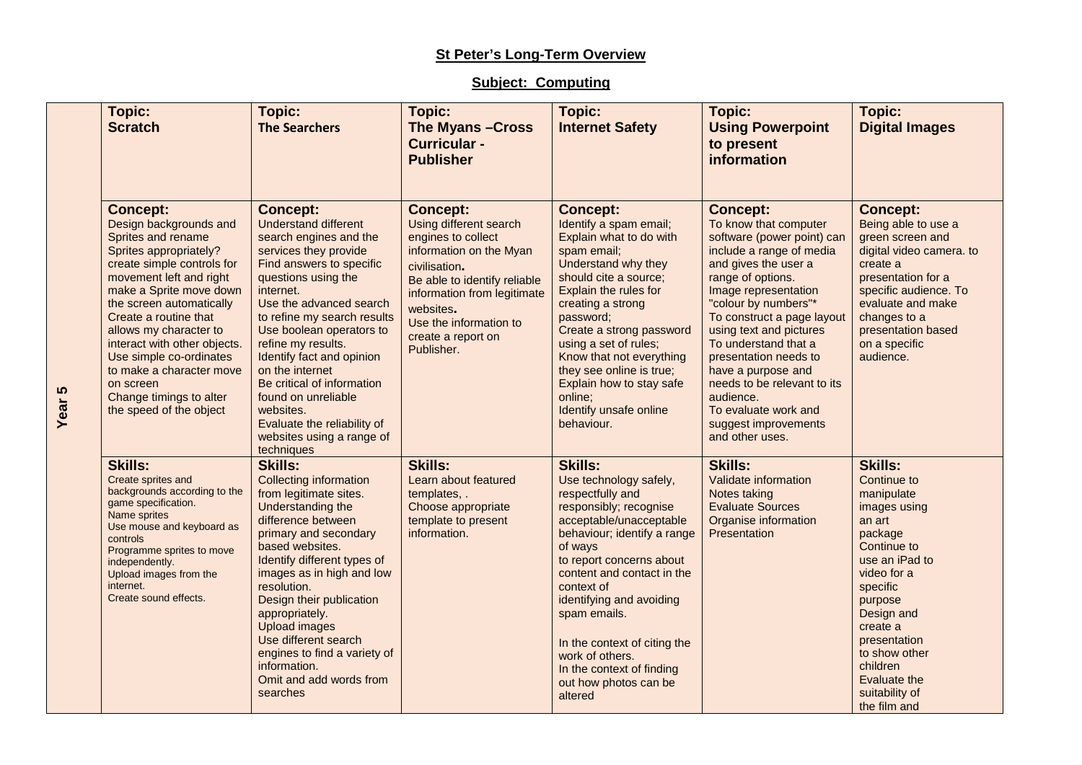## **St Peter's Long-Term Overview**

## **Subject: Computing**

| <b>Topic:</b><br><b>Scratch</b>                                                                                                                                                                                                                                                                                                                                                                                        | Topic:<br><b>The Searchers</b>                                                                                                                                                                                                                                                                                                                                                                                                                                            | Topic:<br>The Myans - Cross<br><b>Curricular -</b><br><b>Publisher</b>                                                                                                                                                                                | Topic:<br><b>Internet Safety</b>                                                                                                                                                                                                                                                                                                                                                                    | Topic:<br><b>Using Powerpoint</b><br>to present<br>information                                                                                                                                                                                                                                                                                                                                                                                 | Topic:<br><b>Digital Images</b>                                                                                                                                                                                                                                                  |
|------------------------------------------------------------------------------------------------------------------------------------------------------------------------------------------------------------------------------------------------------------------------------------------------------------------------------------------------------------------------------------------------------------------------|---------------------------------------------------------------------------------------------------------------------------------------------------------------------------------------------------------------------------------------------------------------------------------------------------------------------------------------------------------------------------------------------------------------------------------------------------------------------------|-------------------------------------------------------------------------------------------------------------------------------------------------------------------------------------------------------------------------------------------------------|-----------------------------------------------------------------------------------------------------------------------------------------------------------------------------------------------------------------------------------------------------------------------------------------------------------------------------------------------------------------------------------------------------|------------------------------------------------------------------------------------------------------------------------------------------------------------------------------------------------------------------------------------------------------------------------------------------------------------------------------------------------------------------------------------------------------------------------------------------------|----------------------------------------------------------------------------------------------------------------------------------------------------------------------------------------------------------------------------------------------------------------------------------|
| <b>Concept:</b><br>Design backgrounds and<br>Sprites and rename<br>Sprites appropriately?<br>create simple controls for<br>movement left and right<br>make a Sprite move down<br>the screen automatically<br>Create a routine that<br>allows my character to<br>interact with other objects.<br>Use simple co-ordinates<br>to make a character move<br>on screen<br>Change timings to alter<br>the speed of the object | <b>Concept:</b><br><b>Understand different</b><br>search engines and the<br>services they provide<br>Find answers to specific<br>questions using the<br>internet.<br>Use the advanced search<br>to refine my search results<br>Use boolean operators to<br>refine my results.<br>Identify fact and opinion<br>on the internet<br>Be critical of information<br>found on unreliable<br>websites.<br>Evaluate the reliability of<br>websites using a range of<br>techniques | <b>Concept:</b><br>Using different search<br>engines to collect<br>information on the Myan<br>civilisation.<br>Be able to identify reliable<br>information from legitimate<br>websites.<br>Use the information to<br>create a report on<br>Publisher. | <b>Concept:</b><br>Identify a spam email;<br>Explain what to do with<br>spam email;<br>Understand why they<br>should cite a source;<br>Explain the rules for<br>creating a strong<br>password;<br>Create a strong password<br>using a set of rules;<br>Know that not everything<br>they see online is true;<br>Explain how to stay safe<br>online;<br>Identify unsafe online<br>behaviour.          | <b>Concept:</b><br>To know that computer<br>software (power point) can<br>include a range of media<br>and gives the user a<br>range of options.<br>Image representation<br>"colour by numbers"*<br>To construct a page layout<br>using text and pictures<br>To understand that a<br>presentation needs to<br>have a purpose and<br>needs to be relevant to its<br>audience.<br>To evaluate work and<br>suggest improvements<br>and other uses. | <b>Concept:</b><br>Being able to use a<br>green screen and<br>digital video camera. to<br>create a<br>presentation for a<br>specific audience. To<br>evaluate and make<br>changes to a<br>presentation based<br>on a specific<br>audience.                                       |
| <b>Skills:</b><br>Create sprites and<br>backgrounds according to the<br>game specification.<br>Name sprites<br>Use mouse and keyboard as<br>controls<br>Programme sprites to move<br>independently.<br>Upload images from the<br>internet.<br>Create sound effects.                                                                                                                                                    | <b>Skills:</b><br><b>Collecting information</b><br>from legitimate sites.<br>Understanding the<br>difference between<br>primary and secondary<br>based websites.<br>Identify different types of<br>images as in high and low<br>resolution.<br>Design their publication<br>appropriately.<br><b>Upload images</b><br>Use different search<br>engines to find a variety of<br>information.<br>Omit and add words from<br>searches                                          | <b>Skills:</b><br>Learn about featured<br>templates, .<br>Choose appropriate<br>template to present<br>information.                                                                                                                                   | <b>Skills:</b><br>Use technology safely,<br>respectfully and<br>responsibly; recognise<br>acceptable/unacceptable<br>behaviour; identify a range<br>of ways<br>to report concerns about<br>content and contact in the<br>context of<br>identifying and avoiding<br>spam emails.<br>In the context of citing the<br>work of others.<br>In the context of finding<br>out how photos can be<br>altered | <b>Skills:</b><br>Validate information<br>Notes taking<br><b>Evaluate Sources</b><br>Organise information<br>Presentation                                                                                                                                                                                                                                                                                                                      | <b>Skills:</b><br>Continue to<br>manipulate<br>images using<br>an art<br>package<br>Continue to<br>use an iPad to<br>video for a<br>specific<br>purpose<br>Design and<br>create a<br>presentation<br>to show other<br>children<br>Evaluate the<br>suitability of<br>the film and |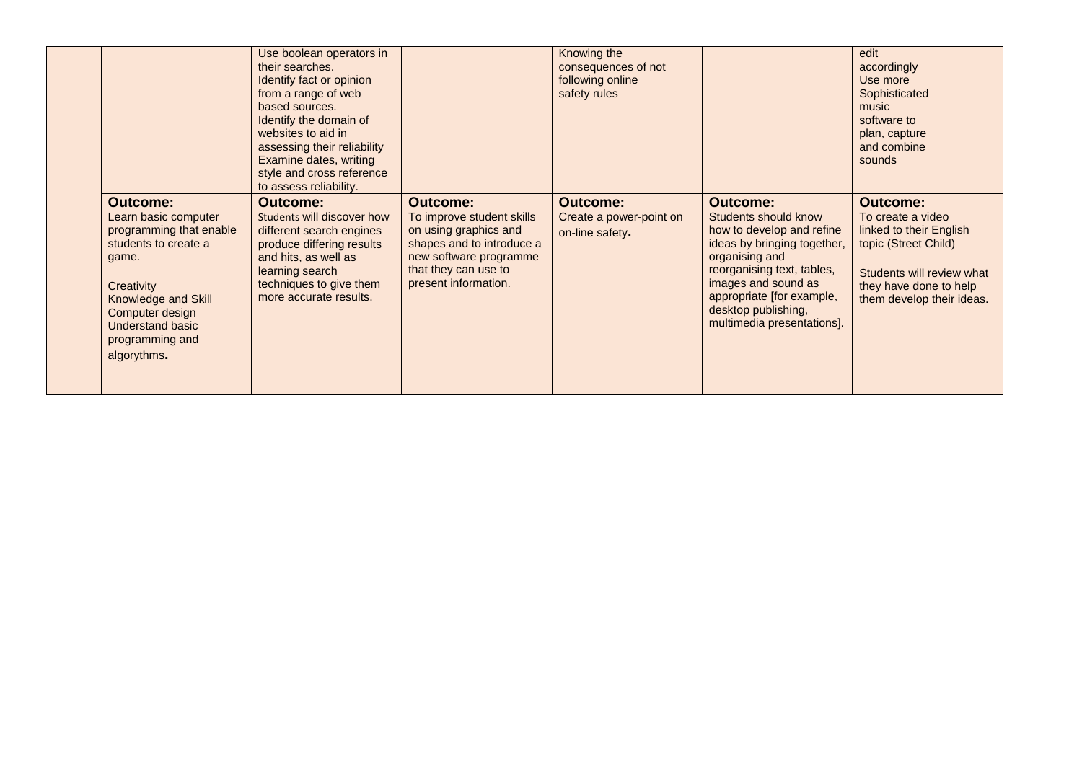|                                                                                                                                                                                                                          | Use boolean operators in<br>their searches.<br>Identify fact or opinion<br>from a range of web<br>based sources.<br>Identify the domain of<br>websites to aid in<br>assessing their reliability<br>Examine dates, writing<br>style and cross reference<br>to assess reliability. |                                                                                                                                                                              | Knowing the<br>consequences of not<br>following online<br>safety rules |                                                                                                                                                                                                                                                              | edit<br>accordingly<br>Use more<br>Sophisticated<br>music<br>software to<br>plan, capture<br>and combine<br>sounds                                                          |
|--------------------------------------------------------------------------------------------------------------------------------------------------------------------------------------------------------------------------|----------------------------------------------------------------------------------------------------------------------------------------------------------------------------------------------------------------------------------------------------------------------------------|------------------------------------------------------------------------------------------------------------------------------------------------------------------------------|------------------------------------------------------------------------|--------------------------------------------------------------------------------------------------------------------------------------------------------------------------------------------------------------------------------------------------------------|-----------------------------------------------------------------------------------------------------------------------------------------------------------------------------|
| <b>Outcome:</b><br>Learn basic computer<br>programming that enable<br>students to create a<br>game.<br>Creativity<br>Knowledge and Skill<br>Computer design<br><b>Understand basic</b><br>programming and<br>algorythms. | <b>Outcome:</b><br>Students will discover how<br>different search engines<br>produce differing results<br>and hits, as well as<br>learning search<br>techniques to give them<br>more accurate results.                                                                           | <b>Outcome:</b><br>To improve student skills<br>on using graphics and<br>shapes and to introduce a<br>new software programme<br>that they can use to<br>present information. | <b>Outcome:</b><br>Create a power-point on<br>on-line safety.          | <b>Outcome:</b><br>Students should know<br>how to develop and refine<br>ideas by bringing together,<br>organising and<br>reorganising text, tables,<br>images and sound as<br>appropriate [for example,<br>desktop publishing,<br>multimedia presentations]. | <b>Outcome:</b><br>To create a video<br>linked to their English<br>topic (Street Child)<br>Students will review what<br>they have done to help<br>them develop their ideas. |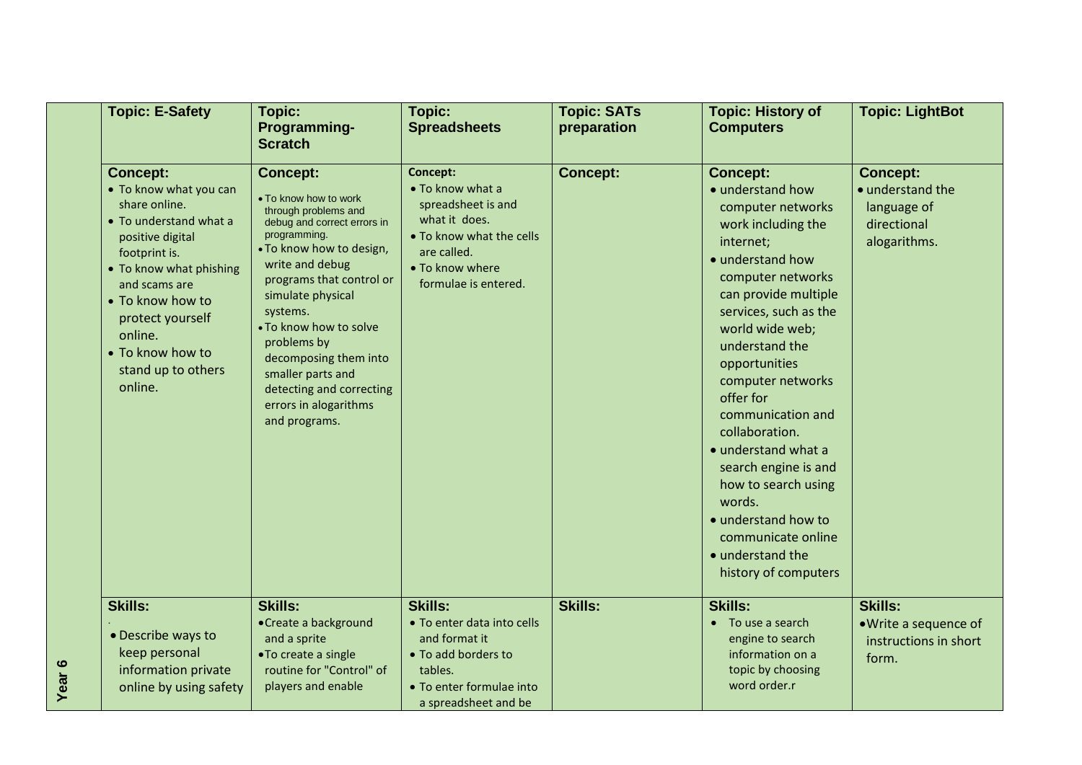|                   | <b>Topic: E-Safety</b>                                                                                                                                                                                                                                                        | Topic:<br>Programming-<br><b>Scratch</b>                                                                                                                                                                                                                                                                                                                                                 | Topic:<br><b>Spreadsheets</b>                                                                                                                             | <b>Topic: SATs</b><br>preparation | <b>Topic: History of</b><br><b>Computers</b>                                                                                                                                                                                                                                                                                                                                                                                                                                                  | <b>Topic: LightBot</b>                                                            |
|-------------------|-------------------------------------------------------------------------------------------------------------------------------------------------------------------------------------------------------------------------------------------------------------------------------|------------------------------------------------------------------------------------------------------------------------------------------------------------------------------------------------------------------------------------------------------------------------------------------------------------------------------------------------------------------------------------------|-----------------------------------------------------------------------------------------------------------------------------------------------------------|-----------------------------------|-----------------------------------------------------------------------------------------------------------------------------------------------------------------------------------------------------------------------------------------------------------------------------------------------------------------------------------------------------------------------------------------------------------------------------------------------------------------------------------------------|-----------------------------------------------------------------------------------|
|                   | <b>Concept:</b><br>• To know what you can<br>share online.<br>• To understand what a<br>positive digital<br>footprint is.<br>• To know what phishing<br>and scams are<br>• To know how to<br>protect yourself<br>online.<br>• To know how to<br>stand up to others<br>online. | <b>Concept:</b><br>• To know how to work<br>through problems and<br>debug and correct errors in<br>programming.<br>. To know how to design,<br>write and debug<br>programs that control or<br>simulate physical<br>systems.<br>. To know how to solve<br>problems by<br>decomposing them into<br>smaller parts and<br>detecting and correcting<br>errors in alogarithms<br>and programs. | Concept:<br>• To know what a<br>spreadsheet is and<br>what it does.<br>• To know what the cells<br>are called.<br>• To know where<br>formulae is entered. | <b>Concept:</b>                   | <b>Concept:</b><br>· understand how<br>computer networks<br>work including the<br>internet;<br>• understand how<br>computer networks<br>can provide multiple<br>services, such as the<br>world wide web;<br>understand the<br>opportunities<br>computer networks<br>offer for<br>communication and<br>collaboration.<br>• understand what a<br>search engine is and<br>how to search using<br>words.<br>• understand how to<br>communicate online<br>• understand the<br>history of computers | <b>Concept:</b><br>· understand the<br>language of<br>directional<br>alogarithms. |
| Year <sub>6</sub> | <b>Skills:</b><br>• Describe ways to<br>keep personal<br>information private<br>online by using safety                                                                                                                                                                        | <b>Skills:</b><br>• Create a background<br>and a sprite<br>•To create a single<br>routine for "Control" of<br>players and enable                                                                                                                                                                                                                                                         | <b>Skills:</b><br>• To enter data into cells<br>and format it<br>• To add borders to<br>tables.<br>• To enter formulae into<br>a spreadsheet and be       | <b>Skills:</b>                    | <b>Skills:</b><br>• To use a search<br>engine to search<br>information on a<br>topic by choosing<br>word order.r                                                                                                                                                                                                                                                                                                                                                                              | <b>Skills:</b><br>• Write a sequence of<br>instructions in short<br>form.         |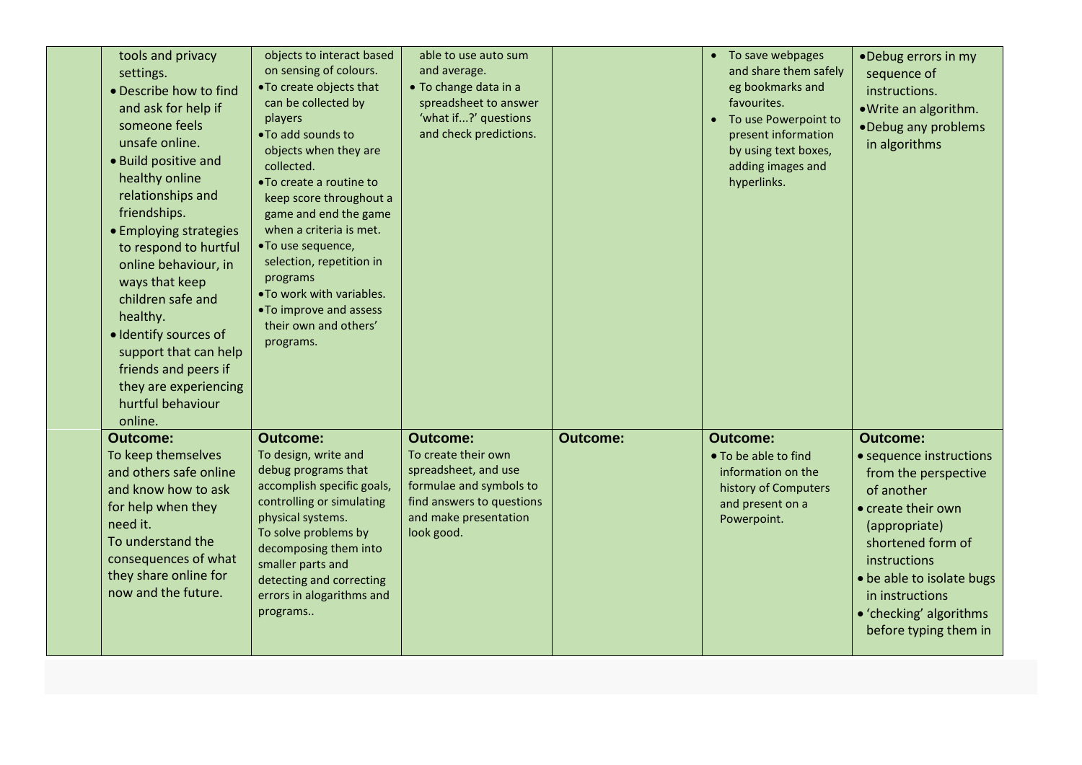| tools and privacy<br>settings.<br>· Describe how to find<br>and ask for help if<br>someone feels<br>unsafe online.<br>• Build positive and<br>healthy online<br>relationships and<br>friendships.<br>• Employing strategies<br>to respond to hurtful<br>online behaviour, in<br>ways that keep<br>children safe and<br>healthy.<br>· Identify sources of<br>support that can help<br>friends and peers if<br>they are experiencing<br>hurtful behaviour<br>online. | objects to interact based<br>on sensing of colours.<br>. To create objects that<br>can be collected by<br>players<br>. To add sounds to<br>objects when they are<br>collected.<br>•To create a routine to<br>keep score throughout a<br>game and end the game<br>when a criteria is met.<br>•To use sequence,<br>selection, repetition in<br>programs<br>. To work with variables.<br>•To improve and assess<br>their own and others'<br>programs. | able to use auto sum<br>and average.<br>• To change data in a<br>spreadsheet to answer<br>'what if?' questions<br>and check predictions.                      |                 | • To save webpages<br>and share them safely<br>eg bookmarks and<br>favourites.<br>To use Powerpoint to<br>present information<br>by using text boxes,<br>adding images and<br>hyperlinks. | •Debug errors in my<br>sequence of<br>instructions.<br>. Write an algorithm.<br>•Debug any problems<br>in algorithms                                                                                                                                             |
|--------------------------------------------------------------------------------------------------------------------------------------------------------------------------------------------------------------------------------------------------------------------------------------------------------------------------------------------------------------------------------------------------------------------------------------------------------------------|----------------------------------------------------------------------------------------------------------------------------------------------------------------------------------------------------------------------------------------------------------------------------------------------------------------------------------------------------------------------------------------------------------------------------------------------------|---------------------------------------------------------------------------------------------------------------------------------------------------------------|-----------------|-------------------------------------------------------------------------------------------------------------------------------------------------------------------------------------------|------------------------------------------------------------------------------------------------------------------------------------------------------------------------------------------------------------------------------------------------------------------|
| <b>Outcome:</b><br>To keep themselves<br>and others safe online<br>and know how to ask<br>for help when they<br>need it.<br>To understand the<br>consequences of what<br>they share online for<br>now and the future.                                                                                                                                                                                                                                              | <b>Outcome:</b><br>To design, write and<br>debug programs that<br>accomplish specific goals,<br>controlling or simulating<br>physical systems.<br>To solve problems by<br>decomposing them into<br>smaller parts and<br>detecting and correcting<br>errors in alogarithms and<br>programs                                                                                                                                                          | <b>Outcome:</b><br>To create their own<br>spreadsheet, and use<br>formulae and symbols to<br>find answers to questions<br>and make presentation<br>look good. | <b>Outcome:</b> | <b>Outcome:</b><br>• To be able to find<br>information on the<br>history of Computers<br>and present on a<br>Powerpoint.                                                                  | <b>Outcome:</b><br>• sequence instructions<br>from the perspective<br>of another<br>• create their own<br>(appropriate)<br>shortened form of<br>instructions<br>• be able to isolate bugs<br>in instructions<br>• 'checking' algorithms<br>before typing them in |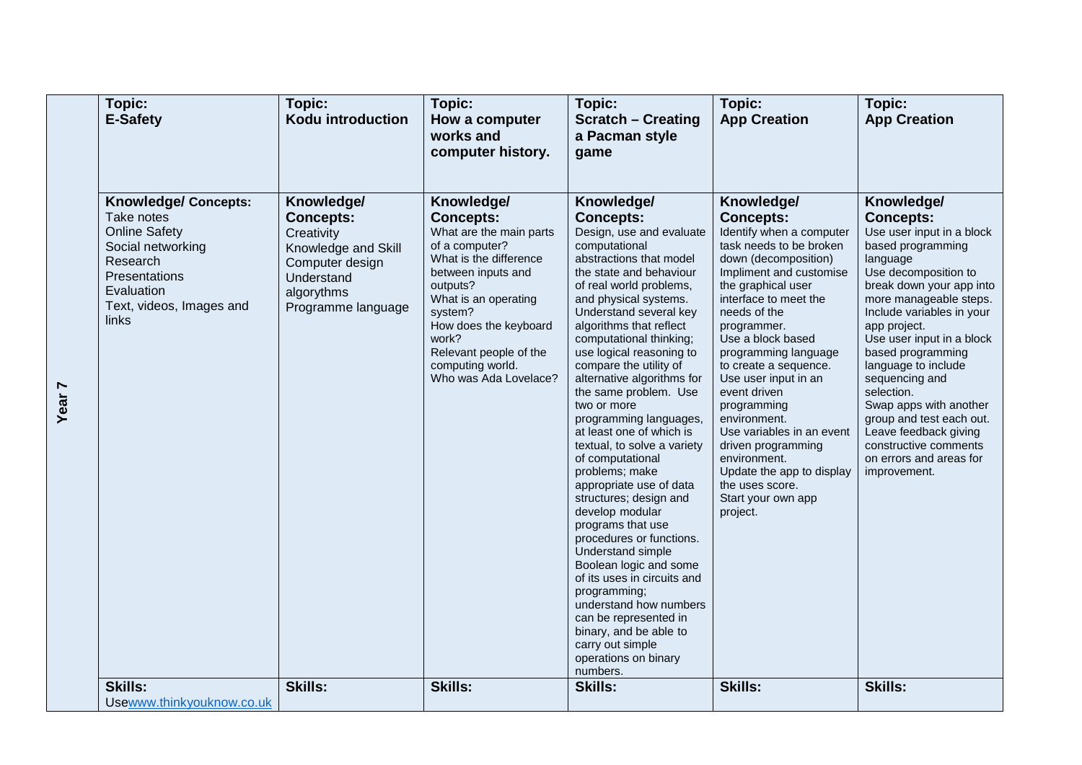| Topic:<br>E-Safety                                                                                                                                                     | Topic:<br>Kodu introduction                                                                                                              | Topic:<br>How a computer<br>works and<br>computer history.                                                                                                                                                                                                                          | Topic:<br><b>Scratch - Creating</b><br>a Pacman style<br>game                                                                                                                                                                                                                                                                                                                                                                                                                                                                                                                                                                                                                                                                                                                                                                                                                            | Topic:<br><b>App Creation</b>                                                                                                                                                                                                                                                                                                                                                                                                                                                                                            | Topic:<br><b>App Creation</b>                                                                                                                                                                                                                                                                                                                                                                                                                                                       |
|------------------------------------------------------------------------------------------------------------------------------------------------------------------------|------------------------------------------------------------------------------------------------------------------------------------------|-------------------------------------------------------------------------------------------------------------------------------------------------------------------------------------------------------------------------------------------------------------------------------------|------------------------------------------------------------------------------------------------------------------------------------------------------------------------------------------------------------------------------------------------------------------------------------------------------------------------------------------------------------------------------------------------------------------------------------------------------------------------------------------------------------------------------------------------------------------------------------------------------------------------------------------------------------------------------------------------------------------------------------------------------------------------------------------------------------------------------------------------------------------------------------------|--------------------------------------------------------------------------------------------------------------------------------------------------------------------------------------------------------------------------------------------------------------------------------------------------------------------------------------------------------------------------------------------------------------------------------------------------------------------------------------------------------------------------|-------------------------------------------------------------------------------------------------------------------------------------------------------------------------------------------------------------------------------------------------------------------------------------------------------------------------------------------------------------------------------------------------------------------------------------------------------------------------------------|
| <b>Knowledge/ Concepts:</b><br>Take notes<br><b>Online Safety</b><br>Social networking<br>Research<br>Presentations<br>Evaluation<br>Text, videos, Images and<br>links | Knowledge/<br><b>Concepts:</b><br>Creativity<br>Knowledge and Skill<br>Computer design<br>Understand<br>algorythms<br>Programme language | Knowledge/<br><b>Concepts:</b><br>What are the main parts<br>of a computer?<br>What is the difference<br>between inputs and<br>outputs?<br>What is an operating<br>system?<br>How does the keyboard<br>work?<br>Relevant people of the<br>computing world.<br>Who was Ada Lovelace? | Knowledge/<br><b>Concepts:</b><br>Design, use and evaluate<br>computational<br>abstractions that model<br>the state and behaviour<br>of real world problems,<br>and physical systems.<br>Understand several key<br>algorithms that reflect<br>computational thinking;<br>use logical reasoning to<br>compare the utility of<br>alternative algorithms for<br>the same problem. Use<br>two or more<br>programming languages,<br>at least one of which is<br>textual, to solve a variety<br>of computational<br>problems; make<br>appropriate use of data<br>structures; design and<br>develop modular<br>programs that use<br>procedures or functions.<br>Understand simple<br>Boolean logic and some<br>of its uses in circuits and<br>programming;<br>understand how numbers<br>can be represented in<br>binary, and be able to<br>carry out simple<br>operations on binary<br>numbers. | Knowledge/<br><b>Concepts:</b><br>Identify when a computer<br>task needs to be broken<br>down (decomposition)<br>Impliment and customise<br>the graphical user<br>interface to meet the<br>needs of the<br>programmer.<br>Use a block based<br>programming language<br>to create a sequence.<br>Use user input in an<br>event driven<br>programming<br>environment.<br>Use variables in an event<br>driven programming<br>environment.<br>Update the app to display<br>the uses score.<br>Start your own app<br>project. | Knowledge/<br><b>Concepts:</b><br>Use user input in a block<br>based programming<br>language<br>Use decomposition to<br>break down your app into<br>more manageable steps.<br>Include variables in your<br>app project.<br>Use user input in a block<br>based programming<br>language to include<br>sequencing and<br>selection.<br>Swap apps with another<br>group and test each out.<br>Leave feedback giving<br>constructive comments<br>on errors and areas for<br>improvement. |
| <b>Skills:</b><br>Usewww.thinkyouknow.co.uk                                                                                                                            | <b>Skills:</b>                                                                                                                           | <b>Skills:</b>                                                                                                                                                                                                                                                                      | <b>Skills:</b>                                                                                                                                                                                                                                                                                                                                                                                                                                                                                                                                                                                                                                                                                                                                                                                                                                                                           | <b>Skills:</b>                                                                                                                                                                                                                                                                                                                                                                                                                                                                                                           | <b>Skills:</b>                                                                                                                                                                                                                                                                                                                                                                                                                                                                      |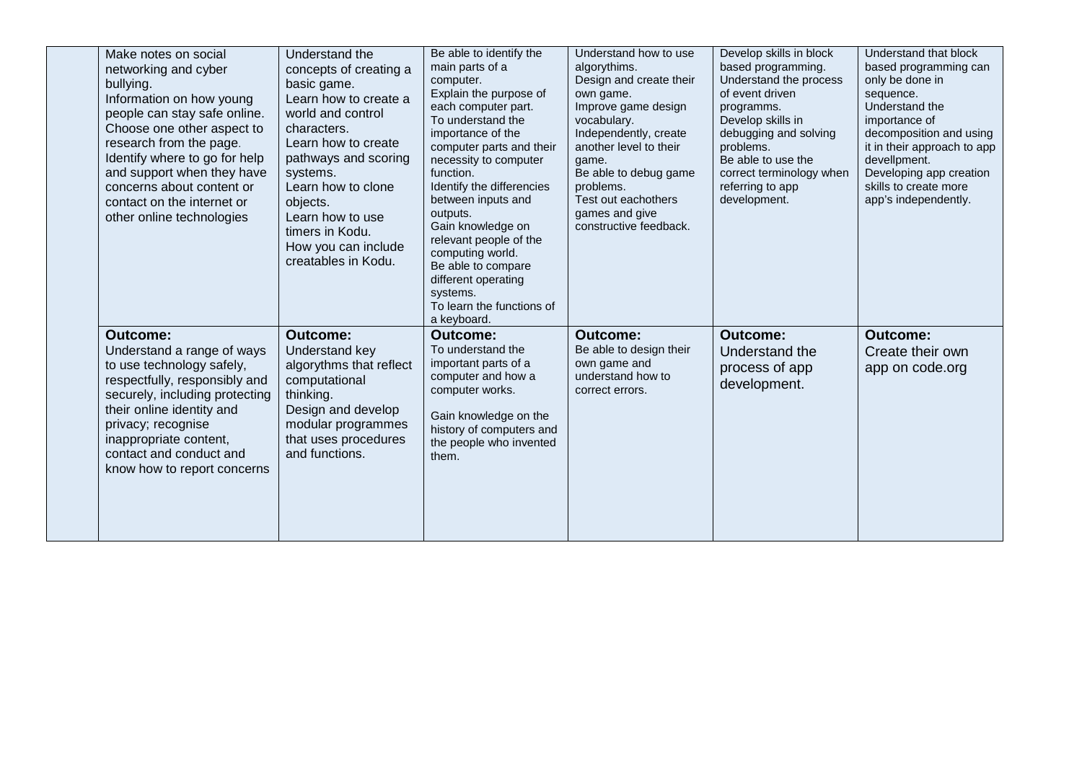| Make notes on social<br>networking and cyber<br>bullying.<br>Information on how young<br>people can stay safe online.<br>Choose one other aspect to<br>research from the page.<br>Identify where to go for help<br>and support when they have<br>concerns about content or<br>contact on the internet or<br>other online technologies | Understand the<br>concepts of creating a<br>basic game.<br>Learn how to create a<br>world and control<br>characters.<br>Learn how to create<br>pathways and scoring<br>systems.<br>Learn how to clone<br>objects.<br>Learn how to use<br>timers in Kodu.<br>How you can include<br>creatables in Kodu. | Be able to identify the<br>main parts of a<br>computer.<br>Explain the purpose of<br>each computer part.<br>To understand the<br>importance of the<br>computer parts and their<br>necessity to computer<br>function.<br>Identify the differencies<br>between inputs and<br>outputs.<br>Gain knowledge on<br>relevant people of the<br>computing world.<br>Be able to compare<br>different operating<br>systems.<br>To learn the functions of<br>a keyboard. | Understand how to use<br>algorythims.<br>Design and create their<br>own game.<br>Improve game design<br>vocabulary.<br>Independently, create<br>another level to their<br>game.<br>Be able to debug game<br>problems.<br>Test out eachothers<br>games and give<br>constructive feedback. | Develop skills in block<br>based programming.<br>Understand the process<br>of event driven<br>programms.<br>Develop skills in<br>debugging and solving<br>problems.<br>Be able to use the<br>correct terminology when<br>referring to app<br>development. | Understand that block<br>based programming can<br>only be done in<br>sequence.<br>Understand the<br>importance of<br>decomposition and using<br>it in their approach to app<br>devellpment.<br>Developing app creation<br>skills to create more<br>app's independently. |
|---------------------------------------------------------------------------------------------------------------------------------------------------------------------------------------------------------------------------------------------------------------------------------------------------------------------------------------|--------------------------------------------------------------------------------------------------------------------------------------------------------------------------------------------------------------------------------------------------------------------------------------------------------|-------------------------------------------------------------------------------------------------------------------------------------------------------------------------------------------------------------------------------------------------------------------------------------------------------------------------------------------------------------------------------------------------------------------------------------------------------------|------------------------------------------------------------------------------------------------------------------------------------------------------------------------------------------------------------------------------------------------------------------------------------------|-----------------------------------------------------------------------------------------------------------------------------------------------------------------------------------------------------------------------------------------------------------|-------------------------------------------------------------------------------------------------------------------------------------------------------------------------------------------------------------------------------------------------------------------------|
| <b>Outcome:</b><br>Understand a range of ways<br>to use technology safely,<br>respectfully, responsibly and<br>securely, including protecting<br>their online identity and<br>privacy; recognise<br>inappropriate content,<br>contact and conduct and<br>know how to report concerns                                                  | <b>Outcome:</b><br>Understand key<br>algorythms that reflect<br>computational<br>thinking.<br>Design and develop<br>modular programmes<br>that uses procedures<br>and functions.                                                                                                                       | <b>Outcome:</b><br>To understand the<br>important parts of a<br>computer and how a<br>computer works.<br>Gain knowledge on the<br>history of computers and<br>the people who invented<br>them.                                                                                                                                                                                                                                                              | <b>Outcome:</b><br>Be able to design their<br>own game and<br>understand how to<br>correct errors.                                                                                                                                                                                       | <b>Outcome:</b><br>Understand the<br>process of app<br>development.                                                                                                                                                                                       | <b>Outcome:</b><br>Create their own<br>app on code.org                                                                                                                                                                                                                  |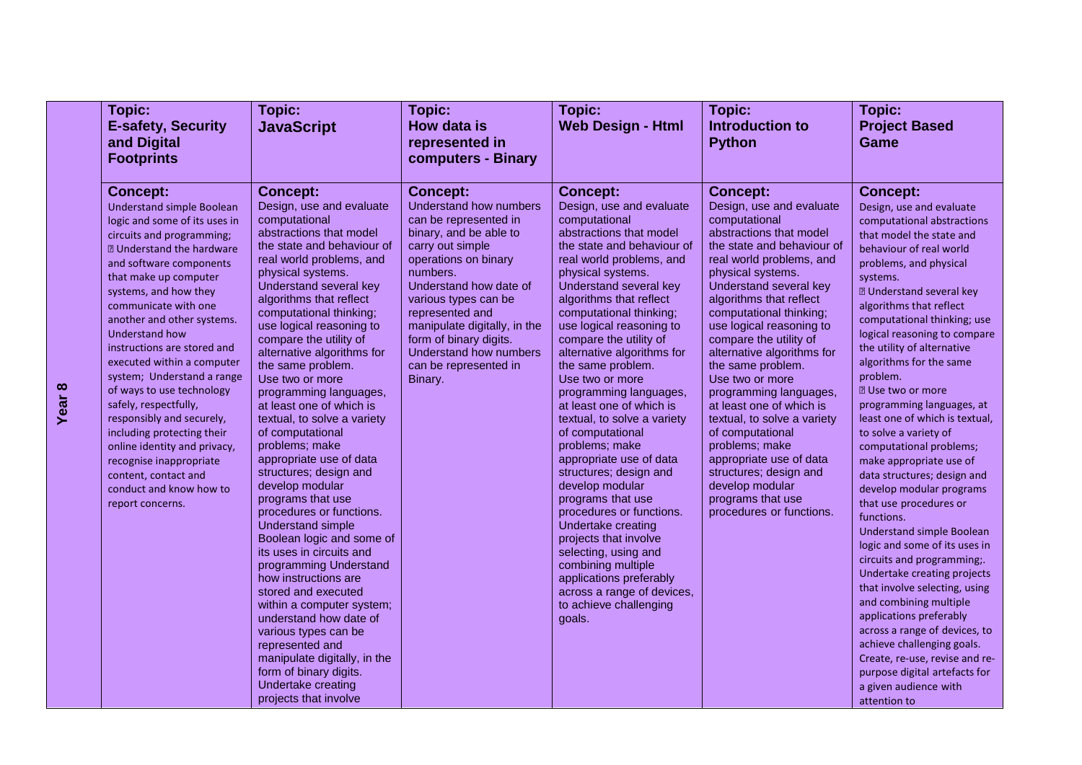| Topic:                                                                                                                                                                                                                                                                                                                                                                                                                                                                                                                                                                                                                                                          | Topic:                                                                                                                                                                                                                                                                                                                                                                                                                                                                                                                                                                                                                                                                                                                                                                                                                                                                                                                          | <b>Topic:</b>                                                                                                                                                                                                                                                                                                                                     | Topic:                                                                                                                                                                                                                                                                                                                                                                                                                                                                                                                                                                                                                                                                                                                                                                                                                           | Topic:                                                                                                                                                                                                                                                                                                                                                                                                                                                                                                                                                                                                                                 | Topic:                                                                                                                                                                                                                                                                                                                                                                                                                                                                                                                                                                                                                                                                                                                                                                                                                                                                                                                                                                        |
|-----------------------------------------------------------------------------------------------------------------------------------------------------------------------------------------------------------------------------------------------------------------------------------------------------------------------------------------------------------------------------------------------------------------------------------------------------------------------------------------------------------------------------------------------------------------------------------------------------------------------------------------------------------------|---------------------------------------------------------------------------------------------------------------------------------------------------------------------------------------------------------------------------------------------------------------------------------------------------------------------------------------------------------------------------------------------------------------------------------------------------------------------------------------------------------------------------------------------------------------------------------------------------------------------------------------------------------------------------------------------------------------------------------------------------------------------------------------------------------------------------------------------------------------------------------------------------------------------------------|---------------------------------------------------------------------------------------------------------------------------------------------------------------------------------------------------------------------------------------------------------------------------------------------------------------------------------------------------|----------------------------------------------------------------------------------------------------------------------------------------------------------------------------------------------------------------------------------------------------------------------------------------------------------------------------------------------------------------------------------------------------------------------------------------------------------------------------------------------------------------------------------------------------------------------------------------------------------------------------------------------------------------------------------------------------------------------------------------------------------------------------------------------------------------------------------|----------------------------------------------------------------------------------------------------------------------------------------------------------------------------------------------------------------------------------------------------------------------------------------------------------------------------------------------------------------------------------------------------------------------------------------------------------------------------------------------------------------------------------------------------------------------------------------------------------------------------------------|-------------------------------------------------------------------------------------------------------------------------------------------------------------------------------------------------------------------------------------------------------------------------------------------------------------------------------------------------------------------------------------------------------------------------------------------------------------------------------------------------------------------------------------------------------------------------------------------------------------------------------------------------------------------------------------------------------------------------------------------------------------------------------------------------------------------------------------------------------------------------------------------------------------------------------------------------------------------------------|
| <b>E-safety, Security</b>                                                                                                                                                                                                                                                                                                                                                                                                                                                                                                                                                                                                                                       | <b>JavaScript</b>                                                                                                                                                                                                                                                                                                                                                                                                                                                                                                                                                                                                                                                                                                                                                                                                                                                                                                               | How data is                                                                                                                                                                                                                                                                                                                                       | <b>Web Design - Html</b>                                                                                                                                                                                                                                                                                                                                                                                                                                                                                                                                                                                                                                                                                                                                                                                                         | Introduction to                                                                                                                                                                                                                                                                                                                                                                                                                                                                                                                                                                                                                        | <b>Project Based</b>                                                                                                                                                                                                                                                                                                                                                                                                                                                                                                                                                                                                                                                                                                                                                                                                                                                                                                                                                          |
| and Digital                                                                                                                                                                                                                                                                                                                                                                                                                                                                                                                                                                                                                                                     |                                                                                                                                                                                                                                                                                                                                                                                                                                                                                                                                                                                                                                                                                                                                                                                                                                                                                                                                 | represented in                                                                                                                                                                                                                                                                                                                                    |                                                                                                                                                                                                                                                                                                                                                                                                                                                                                                                                                                                                                                                                                                                                                                                                                                  | <b>Python</b>                                                                                                                                                                                                                                                                                                                                                                                                                                                                                                                                                                                                                          | Game                                                                                                                                                                                                                                                                                                                                                                                                                                                                                                                                                                                                                                                                                                                                                                                                                                                                                                                                                                          |
| <b>Footprints</b>                                                                                                                                                                                                                                                                                                                                                                                                                                                                                                                                                                                                                                               |                                                                                                                                                                                                                                                                                                                                                                                                                                                                                                                                                                                                                                                                                                                                                                                                                                                                                                                                 | computers - Binary                                                                                                                                                                                                                                                                                                                                |                                                                                                                                                                                                                                                                                                                                                                                                                                                                                                                                                                                                                                                                                                                                                                                                                                  |                                                                                                                                                                                                                                                                                                                                                                                                                                                                                                                                                                                                                                        |                                                                                                                                                                                                                                                                                                                                                                                                                                                                                                                                                                                                                                                                                                                                                                                                                                                                                                                                                                               |
|                                                                                                                                                                                                                                                                                                                                                                                                                                                                                                                                                                                                                                                                 |                                                                                                                                                                                                                                                                                                                                                                                                                                                                                                                                                                                                                                                                                                                                                                                                                                                                                                                                 |                                                                                                                                                                                                                                                                                                                                                   |                                                                                                                                                                                                                                                                                                                                                                                                                                                                                                                                                                                                                                                                                                                                                                                                                                  |                                                                                                                                                                                                                                                                                                                                                                                                                                                                                                                                                                                                                                        |                                                                                                                                                                                                                                                                                                                                                                                                                                                                                                                                                                                                                                                                                                                                                                                                                                                                                                                                                                               |
| <b>Concept:</b><br><b>Understand simple Boolean</b><br>logic and some of its uses in<br>circuits and programming;<br><b>2 Understand the hardware</b><br>and software components<br>that make up computer<br>systems, and how they<br>communicate with one<br>another and other systems.<br><b>Understand how</b><br>instructions are stored and<br>executed within a computer<br>system; Understand a range<br>of ways to use technology<br>safely, respectfully,<br>responsibly and securely,<br>including protecting their<br>online identity and privacy,<br>recognise inappropriate<br>content, contact and<br>conduct and know how to<br>report concerns. | <b>Concept:</b><br>Design, use and evaluate<br>computational<br>abstractions that model<br>the state and behaviour of<br>real world problems, and<br>physical systems.<br>Understand several key<br>algorithms that reflect<br>computational thinking;<br>use logical reasoning to<br>compare the utility of<br>alternative algorithms for<br>the same problem.<br>Use two or more<br>programming languages,<br>at least one of which is<br>textual, to solve a variety<br>of computational<br>problems; make<br>appropriate use of data<br>structures; design and<br>develop modular<br>programs that use<br>procedures or functions.<br>Understand simple<br>Boolean logic and some of<br>its uses in circuits and<br>programming Understand<br>how instructions are<br>stored and executed<br>within a computer system;<br>understand how date of<br>various types can be<br>represented and<br>manipulate digitally, in the | <b>Concept:</b><br>Understand how numbers<br>can be represented in<br>binary, and be able to<br>carry out simple<br>operations on binary<br>numbers.<br>Understand how date of<br>various types can be<br>represented and<br>manipulate digitally, in the<br>form of binary digits.<br>Understand how numbers<br>can be represented in<br>Binary. | <b>Concept:</b><br>Design, use and evaluate<br>computational<br>abstractions that model<br>the state and behaviour of<br>real world problems, and<br>physical systems.<br>Understand several key<br>algorithms that reflect<br>computational thinking;<br>use logical reasoning to<br>compare the utility of<br>alternative algorithms for<br>the same problem.<br>Use two or more<br>programming languages,<br>at least one of which is<br>textual, to solve a variety<br>of computational<br>problems; make<br>appropriate use of data<br>structures; design and<br>develop modular<br>programs that use<br>procedures or functions.<br>Undertake creating<br>projects that involve<br>selecting, using and<br>combining multiple<br>applications preferably<br>across a range of devices,<br>to achieve challenging<br>goals. | <b>Concept:</b><br>Design, use and evaluate<br>computational<br>abstractions that model<br>the state and behaviour of<br>real world problems, and<br>physical systems.<br>Understand several key<br>algorithms that reflect<br>computational thinking;<br>use logical reasoning to<br>compare the utility of<br>alternative algorithms for<br>the same problem.<br>Use two or more<br>programming languages,<br>at least one of which is<br>textual, to solve a variety<br>of computational<br>problems; make<br>appropriate use of data<br>structures; design and<br>develop modular<br>programs that use<br>procedures or functions. | <b>Concept:</b><br>Design, use and evaluate<br>computational abstractions<br>that model the state and<br>behaviour of real world<br>problems, and physical<br>systems.<br><b>2 Understand several key</b><br>algorithms that reflect<br>computational thinking; use<br>logical reasoning to compare<br>the utility of alternative<br>algorithms for the same<br>problem.<br><b>2</b> Use two or more<br>programming languages, at<br>least one of which is textual,<br>to solve a variety of<br>computational problems;<br>make appropriate use of<br>data structures; design and<br>develop modular programs<br>that use procedures or<br>functions.<br><b>Understand simple Boolean</b><br>logic and some of its uses in<br>circuits and programming;<br>Undertake creating projects<br>that involve selecting, using<br>and combining multiple<br>applications preferably<br>across a range of devices, to<br>achieve challenging goals.<br>Create, re-use, revise and re- |
|                                                                                                                                                                                                                                                                                                                                                                                                                                                                                                                                                                                                                                                                 | form of binary digits.<br>Undertake creating<br>projects that involve                                                                                                                                                                                                                                                                                                                                                                                                                                                                                                                                                                                                                                                                                                                                                                                                                                                           |                                                                                                                                                                                                                                                                                                                                                   |                                                                                                                                                                                                                                                                                                                                                                                                                                                                                                                                                                                                                                                                                                                                                                                                                                  |                                                                                                                                                                                                                                                                                                                                                                                                                                                                                                                                                                                                                                        | purpose digital artefacts for<br>a given audience with                                                                                                                                                                                                                                                                                                                                                                                                                                                                                                                                                                                                                                                                                                                                                                                                                                                                                                                        |
|                                                                                                                                                                                                                                                                                                                                                                                                                                                                                                                                                                                                                                                                 |                                                                                                                                                                                                                                                                                                                                                                                                                                                                                                                                                                                                                                                                                                                                                                                                                                                                                                                                 |                                                                                                                                                                                                                                                                                                                                                   |                                                                                                                                                                                                                                                                                                                                                                                                                                                                                                                                                                                                                                                                                                                                                                                                                                  |                                                                                                                                                                                                                                                                                                                                                                                                                                                                                                                                                                                                                                        | attention to                                                                                                                                                                                                                                                                                                                                                                                                                                                                                                                                                                                                                                                                                                                                                                                                                                                                                                                                                                  |

## **Year 8**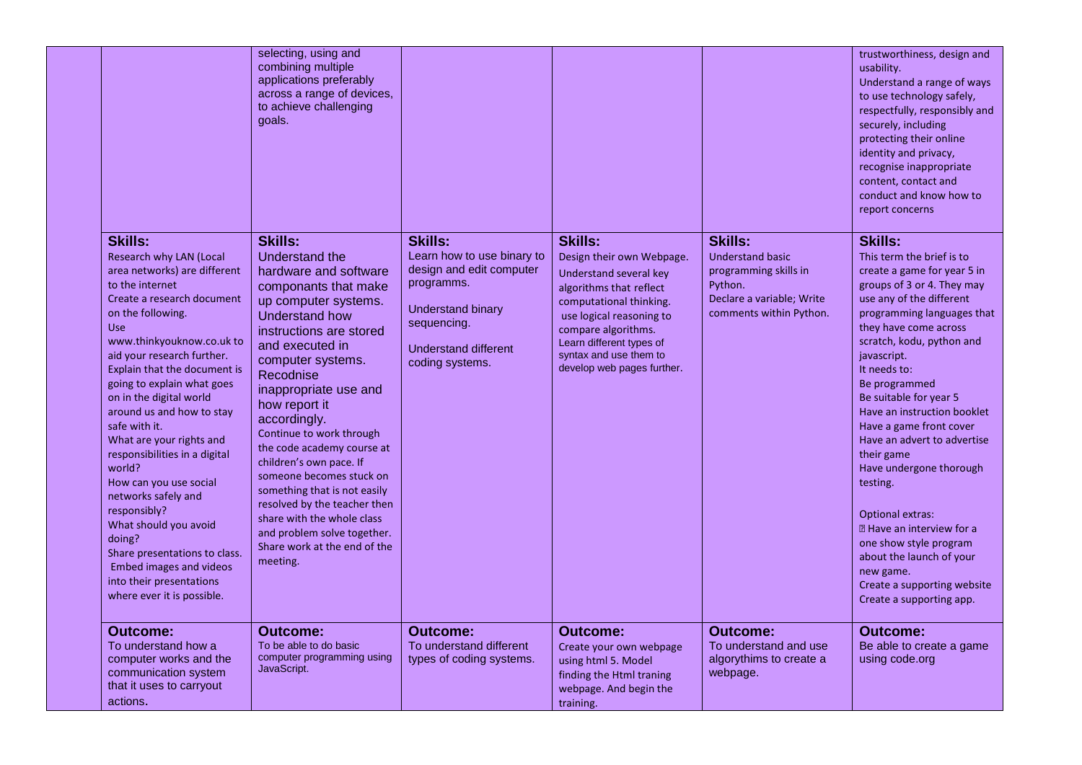|                                                                                                                                                                                                                                                                                                                                                                                                                                                                                                                                                                                                                                                                  | selecting, using and<br>combining multiple<br>applications preferably<br>across a range of devices,<br>to achieve challenging<br>goals.                                                                                                                                                                                                                                                                                                                                                                                                                         |                                                                                                                                                                              |                                                                                                                                                                                                                                                                    |                                                                                                                                       | trustworthiness, design and<br>usability.<br>Understand a range of ways<br>to use technology safely,<br>respectfully, responsibly and<br>securely, including<br>protecting their online<br>identity and privacy,<br>recognise inappropriate<br>content, contact and<br>conduct and know how to<br>report concerns                                                                                                                                                                                                                                                                                                                             |
|------------------------------------------------------------------------------------------------------------------------------------------------------------------------------------------------------------------------------------------------------------------------------------------------------------------------------------------------------------------------------------------------------------------------------------------------------------------------------------------------------------------------------------------------------------------------------------------------------------------------------------------------------------------|-----------------------------------------------------------------------------------------------------------------------------------------------------------------------------------------------------------------------------------------------------------------------------------------------------------------------------------------------------------------------------------------------------------------------------------------------------------------------------------------------------------------------------------------------------------------|------------------------------------------------------------------------------------------------------------------------------------------------------------------------------|--------------------------------------------------------------------------------------------------------------------------------------------------------------------------------------------------------------------------------------------------------------------|---------------------------------------------------------------------------------------------------------------------------------------|-----------------------------------------------------------------------------------------------------------------------------------------------------------------------------------------------------------------------------------------------------------------------------------------------------------------------------------------------------------------------------------------------------------------------------------------------------------------------------------------------------------------------------------------------------------------------------------------------------------------------------------------------|
| <b>Skills:</b><br>Research why LAN (Local<br>area networks) are different<br>to the internet<br>Create a research document<br>on the following.<br><b>Use</b><br>www.thinkyouknow.co.uk to<br>aid your research further.<br>Explain that the document is<br>going to explain what goes<br>on in the digital world<br>around us and how to stay<br>safe with it.<br>What are your rights and<br>responsibilities in a digital<br>world?<br>How can you use social<br>networks safely and<br>responsibly?<br>What should you avoid<br>doing?<br>Share presentations to class.<br>Embed images and videos<br>into their presentations<br>where ever it is possible. | <b>Skills:</b><br>Understand the<br>hardware and software<br>componants that make<br>up computer systems.<br>Understand how<br>instructions are stored<br>and executed in<br>computer systems.<br>Recodnise<br>inappropriate use and<br>how report it<br>accordingly.<br>Continue to work through<br>the code academy course at<br>children's own pace. If<br>someone becomes stuck on<br>something that is not easily<br>resolved by the teacher then<br>share with the whole class<br>and problem solve together.<br>Share work at the end of the<br>meeting. | <b>Skills:</b><br>Learn how to use binary to<br>design and edit computer<br>programms.<br><b>Understand binary</b><br>sequencing.<br>Understand different<br>coding systems. | <b>Skills:</b><br>Design their own Webpage.<br>Understand several key<br>algorithms that reflect<br>computational thinking.<br>use logical reasoning to<br>compare algorithms.<br>Learn different types of<br>syntax and use them to<br>develop web pages further. | <b>Skills:</b><br><b>Understand basic</b><br>programming skills in<br>Python.<br>Declare a variable; Write<br>comments within Python. | <b>Skills:</b><br>This term the brief is to<br>create a game for year 5 in<br>groups of 3 or 4. They may<br>use any of the different<br>programming languages that<br>they have come across<br>scratch, kodu, python and<br>javascript.<br>It needs to:<br>Be programmed<br>Be suitable for year 5<br>Have an instruction booklet<br>Have a game front cover<br>Have an advert to advertise<br>their game<br>Have undergone thorough<br>testing.<br><b>Optional extras:</b><br><b>图 Have an interview for a</b><br>one show style program<br>about the launch of your<br>new game.<br>Create a supporting website<br>Create a supporting app. |
| <b>Outcome:</b><br>To understand how a<br>computer works and the<br>communication system<br>that it uses to carryout<br>actions.                                                                                                                                                                                                                                                                                                                                                                                                                                                                                                                                 | Outcome:<br>To be able to do basic<br>computer programming using<br>JavaScript.                                                                                                                                                                                                                                                                                                                                                                                                                                                                                 | <b>Outcome:</b><br>To understand different<br>types of coding systems.                                                                                                       | <b>Outcome:</b><br>Create your own webpage<br>using html 5. Model<br>finding the Html traning<br>webpage. And begin the<br>training.                                                                                                                               | Outcome:<br>To understand and use<br>algorythims to create a<br>webpage.                                                              | Outcome:<br>Be able to create a game<br>using code.org                                                                                                                                                                                                                                                                                                                                                                                                                                                                                                                                                                                        |